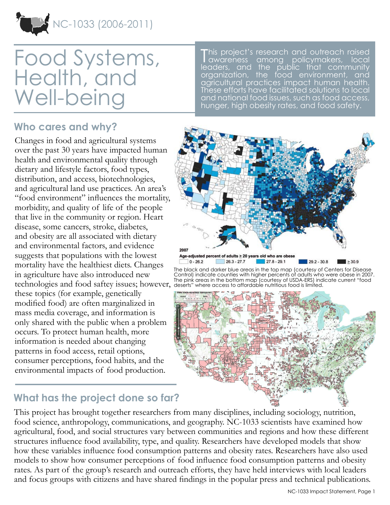NC-1033 (2006-2011)

# Food Systems, Health, and Well-being

### **Who cares and why?**

Changes in food and agricultural systems over the past 30 years have impacted human health and environmental quality through dietary and lifestyle factors, food types, distribution, and access, biotechnologies, and agricultural land use practices. An area's "food environment" influences the mortality, morbidity, and quality of life of the people that live in the community or region. Heart disease, some cancers, stroke, diabetes, and obesity are all associated with dietary and environmental factors, and evidence suggests that populations with the lowest mortality have the healthiest diets. Changes in agriculture have also introduced new technologies and food saftey issues; however, deserts" where access to affordable nutritious food is limited. these topics (for example, genetically modified food) are often marginalized in mass media coverage, and information is only shared with the public when a problem occurs. To protect human health, more information is needed about changing patterns in food access, retail options, consumer perceptions, food habits, and the environmental impacts of food production.

This project's research and outreach raised awareness among policymakers, local leaders, and the public that community organization, the food environment, and agricultural practices impact human health. These efforts have facilitated solutions to local and national food issues, such as food access, hunger, high obesity rates, and food safety.



The black and darker blue areas in the top map (courtesy of Centers for Disease Control) indicate counties with higher percents of adults who were obese in 2007. The pink areas in the bottom map (courtesy of USDA-ERS) indicate current "food



## **What has the project done so far?**

This project has brought together researchers from many disciplines, including sociology, nutrition, food science, anthropology, communications, and geography. NC-1033 scientists have examined how agricultural, food, and social structures vary between communities and regions and how these different structures influence food availability, type, and quality. Researchers have developed models that show how these variables influence food consumption patterns and obesity rates. Researchers have also used models to show how consumer perceptions of food influence food consumption patterns and obesity rates. As part of the group's research and outreach efforts, they have held interviews with local leaders and focus groups with citizens and have shared findings in the popular press and technical publications.